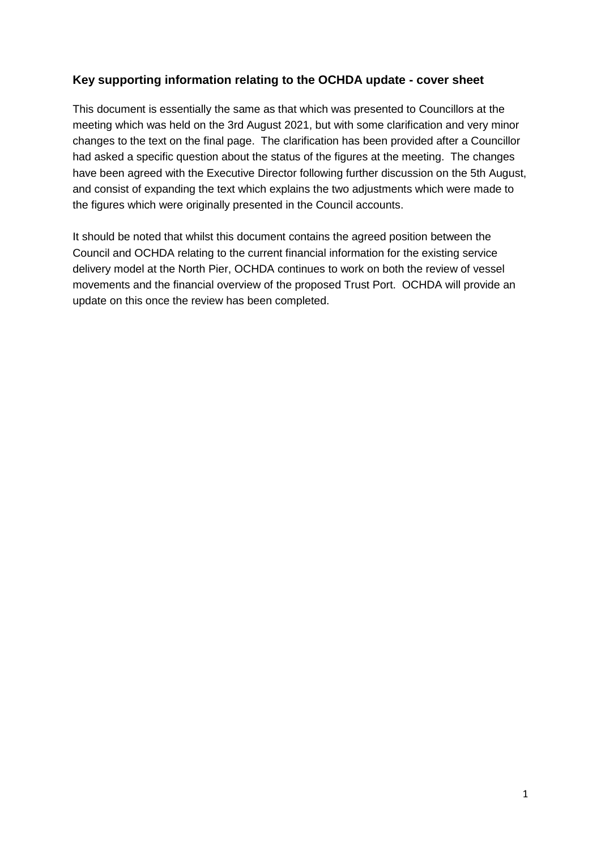## **Key supporting information relating to the OCHDA update - cover sheet**

This document is essentially the same as that which was presented to Councillors at the meeting which was held on the 3rd August 2021, but with some clarification and very minor changes to the text on the final page. The clarification has been provided after a Councillor had asked a specific question about the status of the figures at the meeting. The changes have been agreed with the Executive Director following further discussion on the 5th August, and consist of expanding the text which explains the two adjustments which were made to the figures which were originally presented in the Council accounts.

It should be noted that whilst this document contains the agreed position between the Council and OCHDA relating to the current financial information for the existing service delivery model at the North Pier, OCHDA continues to work on both the review of vessel movements and the financial overview of the proposed Trust Port. OCHDA will provide an update on this once the review has been completed.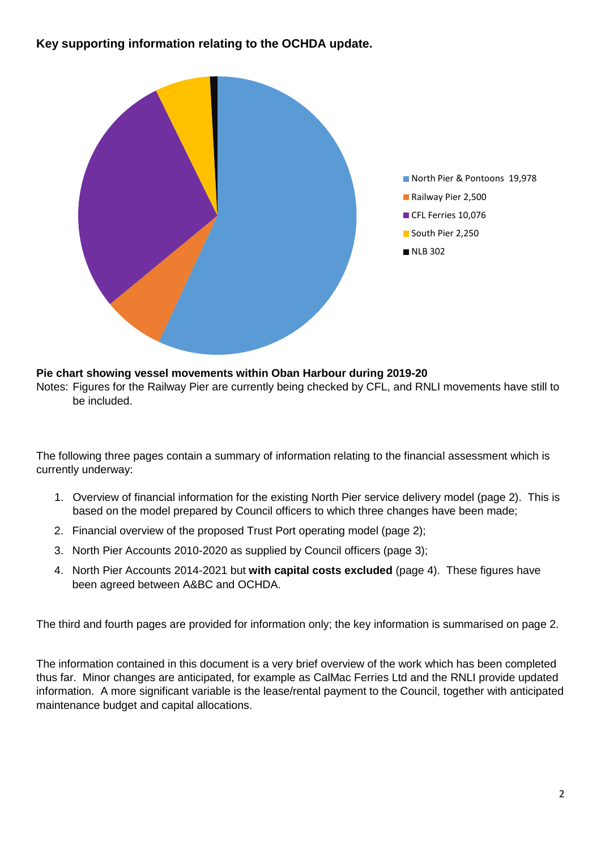**Key supporting information relating to the OCHDA update.**



#### **Pie chart showing vessel movements within Oban Harbour during 2019-20**

Notes: Figures for the Railway Pier are currently being checked by CFL, and RNLI movements have still to be included.

The following three pages contain a summary of information relating to the financial assessment which is currently underway:

- 1. Overview of financial information for the existing North Pier service delivery model (page 2). This is based on the model prepared by Council officers to which three changes have been made;
- 2. Financial overview of the proposed Trust Port operating model (page 2);
- 3. North Pier Accounts 2010-2020 as supplied by Council officers (page 3);
- 4. North Pier Accounts 2014-2021 but **with capital costs excluded** (page 4). These figures have been agreed between A&BC and OCHDA.

The third and fourth pages are provided for information only; the key information is summarised on page 2.

The information contained in this document is a very brief overview of the work which has been completed thus far. Minor changes are anticipated, for example as CalMac Ferries Ltd and the RNLI provide updated information. A more significant variable is the lease/rental payment to the Council, together with anticipated maintenance budget and capital allocations.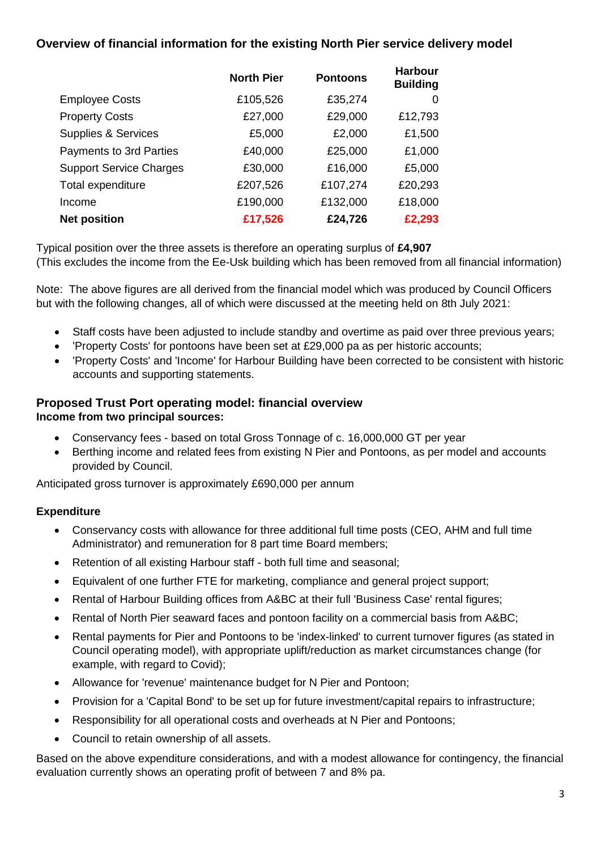## **Overview of financial information for the existing North Pier service delivery model**

|                                | <b>North Pier</b> | <b>Pontoons</b> | <b>Harbour</b><br><b>Building</b> |
|--------------------------------|-------------------|-----------------|-----------------------------------|
| <b>Employee Costs</b>          | £105,526          | £35,274         | 0                                 |
| <b>Property Costs</b>          | £27,000           | £29,000         | £12,793                           |
| <b>Supplies &amp; Services</b> | £5,000            | £2,000          | £1,500                            |
| Payments to 3rd Parties        | £40,000           | £25,000         | £1,000                            |
| <b>Support Service Charges</b> | £30,000           | £16,000         | £5,000                            |
| Total expenditure              | £207,526          | £107,274        | £20,293                           |
| Income                         | £190,000          | £132,000        | £18,000                           |
| <b>Net position</b>            | £17,526           | £24,726         | £2,293                            |

Typical position over the three assets is therefore an operating surplus of **£4,907** (This excludes the income from the Ee-Usk building which has been removed from all financial information)

Note: The above figures are all derived from the financial model which was produced by Council Officers but with the following changes, all of which were discussed at the meeting held on 8th July 2021:

- Staff costs have been adjusted to include standby and overtime as paid over three previous years;
- 'Property Costs' for pontoons have been set at £29,000 pa as per historic accounts;
- 'Property Costs' and 'Income' for Harbour Building have been corrected to be consistent with historic accounts and supporting statements.

## **Proposed Trust Port operating model: financial overview**

### **Income from two principal sources:**

- Conservancy fees based on total Gross Tonnage of c. 16,000,000 GT per year
- Berthing income and related fees from existing N Pier and Pontoons, as per model and accounts provided by Council.

Anticipated gross turnover is approximately £690,000 per annum

### **Expenditure**

- Conservancy costs with allowance for three additional full time posts (CEO, AHM and full time Administrator) and remuneration for 8 part time Board members;
- Retention of all existing Harbour staff both full time and seasonal;
- Equivalent of one further FTE for marketing, compliance and general project support;
- Rental of Harbour Building offices from A&BC at their full 'Business Case' rental figures;
- Rental of North Pier seaward faces and pontoon facility on a commercial basis from A&BC;
- Rental payments for Pier and Pontoons to be 'index-linked' to current turnover figures (as stated in Council operating model), with appropriate uplift/reduction as market circumstances change (for example, with regard to Covid);
- Allowance for 'revenue' maintenance budget for N Pier and Pontoon;
- Provision for a 'Capital Bond' to be set up for future investment/capital repairs to infrastructure;
- Responsibility for all operational costs and overheads at N Pier and Pontoons;
- Council to retain ownership of all assets.

Based on the above expenditure considerations, and with a modest allowance for contingency, the financial evaluation currently shows an operating profit of between 7 and 8% pa.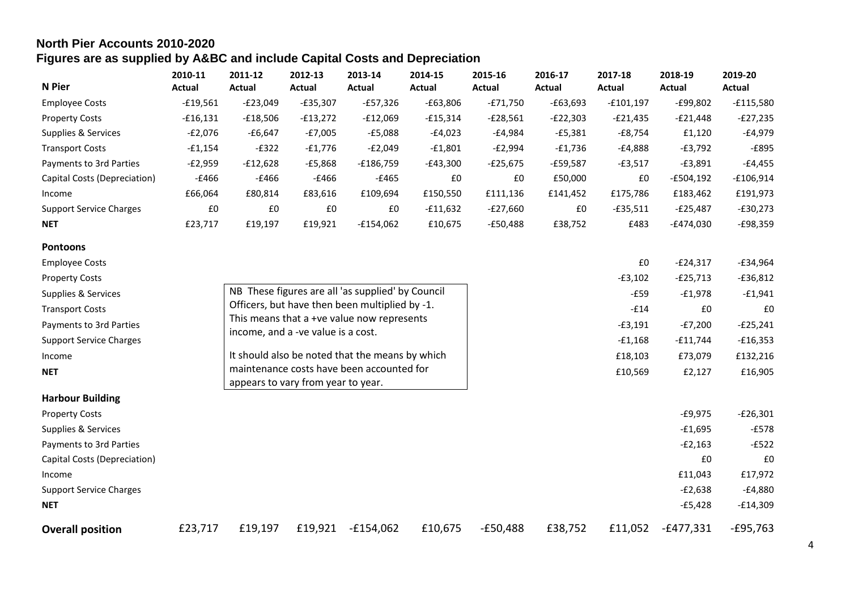# **North Pier Accounts 2010-2020 Figures are as supplied by A&BC and include Capital Costs and Depreciation**

| N Pier                         | 2010-11<br>Actual | 2011-12<br>Actual | 2012-13<br>Actual | 2013-14<br>Actual | 2014-15<br>Actual | 2015-16<br>Actual | 2016-17<br>Actual | 2017-18<br>Actual | 2018-19<br>Actual | 2019-20<br>Actual |
|--------------------------------|-------------------|-------------------|-------------------|-------------------|-------------------|-------------------|-------------------|-------------------|-------------------|-------------------|
| <b>Employee Costs</b>          | $-£19,561$        | $-E23,049$        | -£35,307          | $-E57,326$        | $-£63,806$        | $-E71,750$        | $-£63,693$        | -£101,197         | $-E99,802$        | -£115,580         |
| <b>Property Costs</b>          | $-£16,131$        | -£18,506          | $-£13,272$        | $-E12,069$        | -£15,314          | $-E28,561$        | $-E22,303$        | -£21,435          | $-E21,448$        | $-E27,235$        |
| Supplies & Services            | $-E2,076$         | $-£6,647$         | $-E7,005$         | $-£5,088$         | -£4,023           | -£4,984           | $-E5,381$         | -£8,754           | £1,120            | -£4,979           |
| <b>Transport Costs</b>         | $-£1,154$         | $-E322$           | $-£1,776$         | $-E2,049$         | $-£1,801$         | $-E2,994$         | -£1,736           | -£4,888           | $-E3,792$         | $-E895$           |
| Payments to 3rd Parties        | $-E2,959$         | $-£12,628$        | -£5,868           | $-£186,759$       | -£43,300          | $-E25,675$        | $-£59,587$        | $-E3,517$         | $-E3,891$         | -£4,455           |
| Capital Costs (Depreciation)   | -£466             | -£466             | $-£466$           | $-£465$           | £0                | £0                | £50,000           | £0                | $-E504,192$       | $-£106,914$       |
| Income                         | £66.064           | £80,814           | £83,616           | £109,694          | £150,550          | £111,136          | £141,452          | £175,786          | £183,462          | £191,973          |
| <b>Support Service Charges</b> | £0                | £0                | £0                | £0                | $-£11,632$        | $-E27,660$        | £0                | $-£35,511$        | $-E25,487$        | $-£30,273$        |
| <b>NET</b>                     | £23.717           | £19,197           | £19.921           | $-£154.062$       | £10,675           | $-E50,488$        | £38,752           | £483              | $-E474,030$       | -£98,359          |

| <b>Pontoons</b>                |         |                                    |         |                                                   |         |                    |         |           |             |            |
|--------------------------------|---------|------------------------------------|---------|---------------------------------------------------|---------|--------------------|---------|-----------|-------------|------------|
| <b>Employee Costs</b>          |         |                                    |         |                                                   |         |                    |         | £0        | $-E24,317$  | $-£34,964$ |
| <b>Property Costs</b>          |         |                                    |         |                                                   |         |                    |         | $-£3,102$ | $-E25,713$  | $-£36,812$ |
| Supplies & Services            |         |                                    |         | NB These figures are all 'as supplied' by Council |         |                    |         | $-E59$    | $-f1,978$   | $-£1,941$  |
| <b>Transport Costs</b>         |         |                                    |         | Officers, but have then been multiplied by -1.    |         |                    |         | $-£14$    | £0          | £0         |
| Payments to 3rd Parties        |         | income, and a -ve value is a cost. |         | This means that a +ve value now represents        |         |                    |         | $-£3,191$ | $-E7,200$   | $-E25,241$ |
| <b>Support Service Charges</b> |         |                                    |         |                                                   |         |                    |         | $-£1,168$ | $-£11,744$  | $-£16,353$ |
| Income                         |         |                                    |         | It should also be noted that the means by which   |         | £18,103<br>£10,569 |         |           | £73,079     | £132,216   |
| <b>NET</b>                     |         |                                    |         | maintenance costs have been accounted for         |         |                    |         |           | £2,127      | £16,905    |
| <b>Harbour Building</b>        |         | appears to vary from year to year. |         |                                                   |         |                    |         |           |             |            |
| <b>Property Costs</b>          |         |                                    |         |                                                   |         |                    |         |           | $-£9,975$   | $-E26,301$ |
| Supplies & Services            |         |                                    |         |                                                   |         |                    |         |           | $-£1,695$   | -£578      |
| Payments to 3rd Parties        |         |                                    |         |                                                   |         |                    |         |           | $-E2,163$   | $-E522$    |
| Capital Costs (Depreciation)   |         |                                    |         |                                                   |         |                    |         |           | £0          | £0         |
| Income                         |         |                                    |         |                                                   |         |                    |         |           | £11,043     | £17,972    |
| <b>Support Service Charges</b> |         |                                    |         |                                                   |         |                    |         |           | $-E2,638$   | $-£4,880$  |
| <b>NET</b>                     |         |                                    |         |                                                   |         |                    |         |           | $-£5,428$   | $-£14,309$ |
| <b>Overall position</b>        | £23,717 | £19,197                            | £19,921 | $-£154,062$                                       | £10,675 | $-E50,488$         | £38,752 | £11,052   | $-E477,331$ | $-E95,763$ |